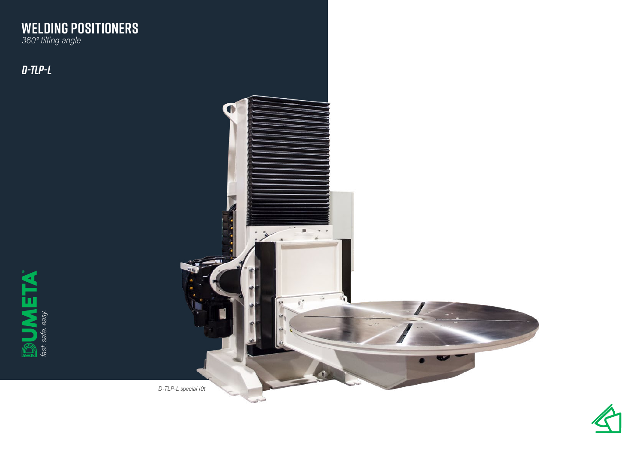### **WELDING POSITIONERS** *360° tilting angle*

*D-TLP-L*



*D-TLP-L special 10t*

 $\mathbb{R}^{n}$  . <br> <br> :  $\mathbb{R}^{n}$  $\overline{a}$ 

围

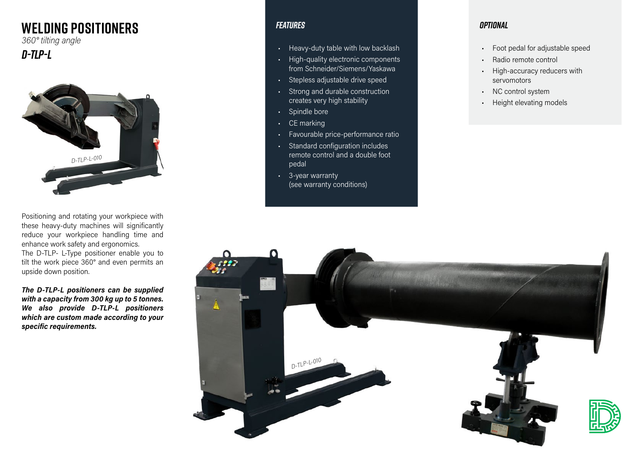# **WELDING POSITIONERS**

*360° tilting angle*

## *D-TLP-L*



Positioning and rotating your workpiece with these heavy-duty machines will significantly reduce your workpiece handling time and enhance work safety and ergonomics. The D-TLP- L-Type positioner enable you to tilt the work piece 360° and even permits an upside down position.

*The D-TLP-L positioners can be supplied with a capacity from 300 kg up to 5 tonnes. We also provide D-TLP-L positioners which are custom made according to your specific requirements.*

### *Features*

- Heavy-duty table with low backlash
- High-quality electronic components from Schneider/Siemens/Yaskawa
- Stepless adjustable drive speed
- Strong and durable construction creates very high stability
- Spindle bore
- CE marking
- Favourable price-performance ratio
- Standard configuration includes remote control and a double foot pedal
- 3-year warranty (see warranty conditions)

#### *Optional*

- Foot pedal for adjustable speed
- Radio remote control
- High-accuracy reducers with servomotors
- NC control system
- Height elevating models